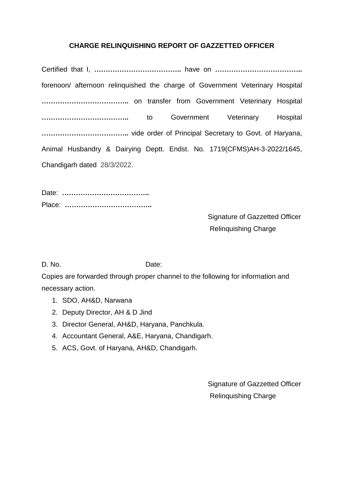## **CHARGE RELINQUISHING REPORT OF GAZZETTED OFFICER**

Certified that I, **ÖÖÖÖÖÖÖÖÖÖÖÖ..** have on **ÖÖÖÖÖÖÖÖÖÖÖÖ..** forenoon/ afternoon relinquished the charge of Government Veterinary Hospital **..** on transfer from Government Veterinary Hospital **ÖÖÖÖÖÖÖÖÖÖÖÖ..** to Government Veterinary Hospital **ÖÖÖÖÖÖÖÖÖÖÖÖ..** vide order of Principal Secretary to Govt. of Haryana, Animal Husbandry & Dairying Deptt. Endst. No. 1719(CFMS)AH-3-2022/1645, Chandigarh dated 28/3/2022.

Date: **ÖÖÖÖÖÖÖÖÖÖÖÖ..** Place: **ÖÖÖÖÖÖÖÖÖÖÖÖ..**

> Signature of Gazzetted Officer Relinquishing Charge

D. No. **Date:** Date:

Copies are forwarded through proper channel to the following for information and necessary action.

- 1. SDO, AH&D, Narwana
- 2. Deputy Director, AH & D Jind
- 3. Director General, AH&D, Haryana, Panchkula.
- 4. Accountant General, A&E, Haryana, Chandigarh.
- 5. ACS, Govt. of Haryana, AH&D, Chandigarh.

Signature of Gazzetted Officer Relinquishing Charge